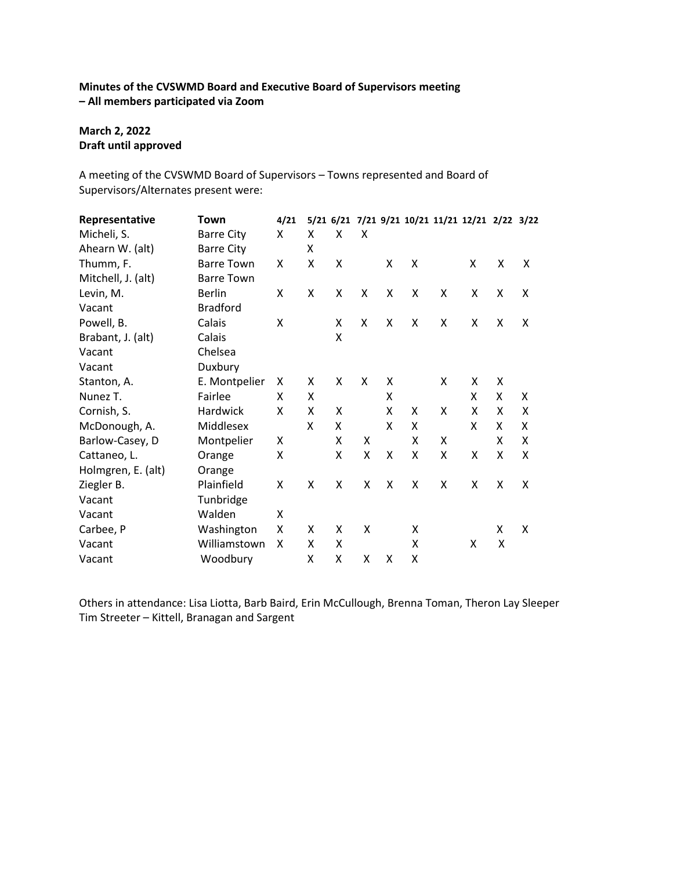# **Minutes of the CVSWMD Board and Executive Board of Supervisors meeting – All members participated via Zoom**

# **March 2, 2022 Draft until approved**

A meeting of the CVSWMD Board of Supervisors – Towns represented and Board of Supervisors/Alternates present were:

| Representative     | Town              | 4/21 |   |   |   |   |   |   | 5/21 6/21 7/21 9/21 10/21 11/21 12/21 2/22 3/22 |   |   |
|--------------------|-------------------|------|---|---|---|---|---|---|-------------------------------------------------|---|---|
| Micheli, S.        | <b>Barre City</b> | Χ    | x | X | X |   |   |   |                                                 |   |   |
| Ahearn W. (alt)    | <b>Barre City</b> |      | x |   |   |   |   |   |                                                 |   |   |
| Thumm, F.          | <b>Barre Town</b> | X    | Χ | X |   | X | X |   | X                                               | X | X |
| Mitchell, J. (alt) | <b>Barre Town</b> |      |   |   |   |   |   |   |                                                 |   |   |
| Levin, M.          | <b>Berlin</b>     | X    | X | X | X | X | X | X | X                                               | X | X |
| Vacant             | <b>Bradford</b>   |      |   |   |   |   |   |   |                                                 |   |   |
| Powell, B.         | Calais            | X    |   | X | X | X | X | X | x                                               | X | X |
| Brabant, J. (alt)  | Calais            |      |   | X |   |   |   |   |                                                 |   |   |
| Vacant             | Chelsea           |      |   |   |   |   |   |   |                                                 |   |   |
| Vacant             | Duxbury           |      |   |   |   |   |   |   |                                                 |   |   |
| Stanton, A.        | E. Montpelier     | X    | X | X | X | X |   | X | x                                               | X |   |
| Nunez T.           | Fairlee           | X    | X |   |   | X |   |   | X                                               | X | X |
| Cornish, S.        | Hardwick          | X    | x | X |   | X | X | X | X                                               | Χ | Χ |
| McDonough, A.      | Middlesex         |      | X | X |   | X | X |   | X                                               | X | Χ |
| Barlow-Casey, D    | Montpelier        | X    |   | X | X |   | X | X |                                                 | x | X |
| Cattaneo, L.       | Orange            | Χ    |   | X | X | X | X | X | X                                               | X | X |
| Holmgren, E. (alt) | Orange            |      |   |   |   |   |   |   |                                                 |   |   |
| Ziegler B.         | Plainfield        | X    | X | X | X | X | X | X | X                                               | X | X |
| Vacant             | Tunbridge         |      |   |   |   |   |   |   |                                                 |   |   |
| Vacant             | Walden            | X    |   |   |   |   |   |   |                                                 |   |   |
| Carbee, P          | Washington        | Χ    | x | X | X |   | X |   |                                                 | X | X |
| Vacant             | Williamstown      | X    | Χ | X |   |   | Χ |   | X                                               | X |   |
| Vacant             | Woodbury          |      | Χ | x | x | X | X |   |                                                 |   |   |

Others in attendance: Lisa Liotta, Barb Baird, Erin McCullough, Brenna Toman, Theron Lay Sleeper Tim Streeter – Kittell, Branagan and Sargent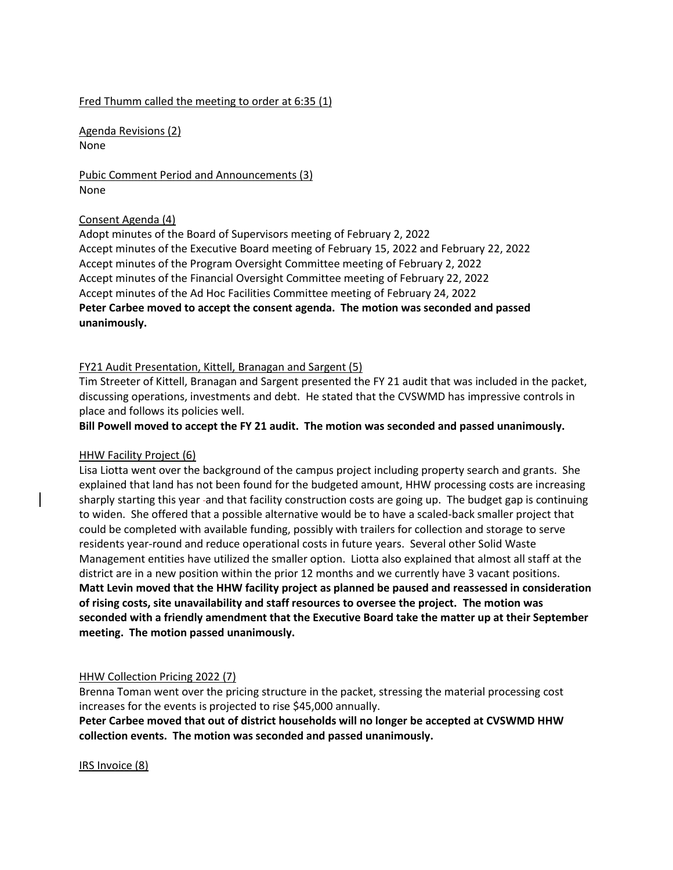#### Fred Thumm called the meeting to order at 6:35 (1)

Agenda Revisions (2) None

Pubic Comment Period and Announcements (3) None

### Consent Agenda (4)

Adopt minutes of the Board of Supervisors meeting of February 2, 2022 Accept minutes of the Executive Board meeting of February 15, 2022 and February 22, 2022 Accept minutes of the Program Oversight Committee meeting of February 2, 2022 Accept minutes of the Financial Oversight Committee meeting of February 22, 2022 Accept minutes of the Ad Hoc Facilities Committee meeting of February 24, 2022 **Peter Carbee moved to accept the consent agenda. The motion was seconded and passed unanimously.**

### FY21 Audit Presentation, Kittell, Branagan and Sargent (5)

Tim Streeter of Kittell, Branagan and Sargent presented the FY 21 audit that was included in the packet, discussing operations, investments and debt. He stated that the CVSWMD has impressive controls in place and follows its policies well.

**Bill Powell moved to accept the FY 21 audit. The motion was seconded and passed unanimously.**

### HHW Facility Project (6)

Lisa Liotta went over the background of the campus project including property search and grants. She explained that land has not been found for the budgeted amount, HHW processing costs are increasing sharply starting this year and that facility construction costs are going up. The budget gap is continuing to widen. She offered that a possible alternative would be to have a scaled-back smaller project that could be completed with available funding, possibly with trailers for collection and storage to serve residents year-round and reduce operational costs in future years. Several other Solid Waste Management entities have utilized the smaller option. Liotta also explained that almost all staff at the district are in a new position within the prior 12 months and we currently have 3 vacant positions. **Matt Levin moved that the HHW facility project as planned be paused and reassessed in consideration of rising costs, site unavailability and staff resources to oversee the project. The motion was seconded with a friendly amendment that the Executive Board take the matter up at their September meeting. The motion passed unanimously.**

### HHW Collection Pricing 2022 (7)

Brenna Toman went over the pricing structure in the packet, stressing the material processing cost increases for the events is projected to rise \$45,000 annually.

**Peter Carbee moved that out of district households will no longer be accepted at CVSWMD HHW collection events. The motion was seconded and passed unanimously.**

IRS Invoice (8)